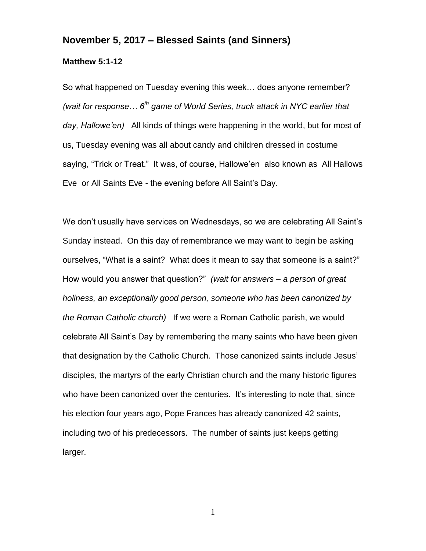## **November 5, 2017 – Blessed Saints (and Sinners)**

## **Matthew 5:1-12**

So what happened on Tuesday evening this week… does anyone remember? *(wait for response… 6th game of World Series, truck attack in NYC earlier that day, Hallowe'en)* All kinds of things were happening in the world, but for most of us, Tuesday evening was all about candy and children dressed in costume saying, "Trick or Treat." It was, of course, Hallowe'en also known as All Hallows Eve or All Saints Eve - the evening before All Saint's Day.

We don't usually have services on Wednesdays, so we are celebrating All Saint's Sunday instead. On this day of remembrance we may want to begin be asking ourselves, "What is a saint? What does it mean to say that someone is a saint?" How would you answer that question?" *(wait for answers – a person of great holiness, an exceptionally good person, someone who has been canonized by the Roman Catholic church)* If we were a Roman Catholic parish, we would celebrate All Saint's Day by remembering the many saints who have been given that designation by the Catholic Church. Those canonized saints include Jesus' disciples, the martyrs of the early Christian church and the many historic figures who have been canonized over the centuries. It's interesting to note that, since his election four years ago, Pope Frances has already canonized 42 saints, including two of his predecessors. The number of saints just keeps getting larger.

1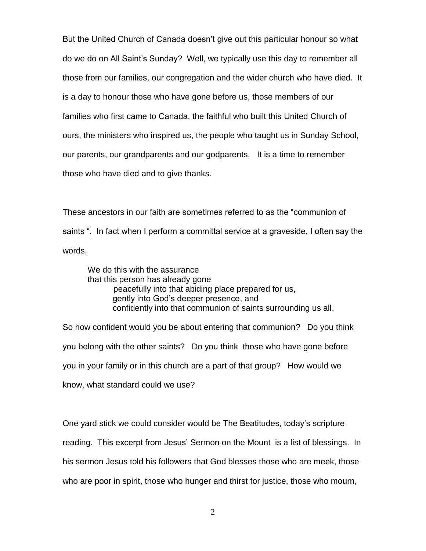But the United Church of Canada doesn't give out this particular honour so what do we do on All Saint's Sunday? Well, we typically use this day to remember all those from our families, our congregation and the wider church who have died. It is a day to honour those who have gone before us, those members of our families who first came to Canada, the faithful who built this United Church of ours, the ministers who inspired us, the people who taught us in Sunday School, our parents, our grandparents and our godparents. It is a time to remember those who have died and to give thanks.

These ancestors in our faith are sometimes referred to as the "communion of saints ". In fact when I perform a committal service at a graveside, I often say the words,

We do this with the assurance that this person has already gone peacefully into that abiding place prepared for us, gently into God's deeper presence, and confidently into that communion of saints surrounding us all.

So how confident would you be about entering that communion? Do you think you belong with the other saints? Do you think those who have gone before you in your family or in this church are a part of that group? How would we know, what standard could we use?

One yard stick we could consider would be The Beatitudes, today's scripture reading. This excerpt from Jesus' Sermon on the Mount is a list of blessings. In his sermon Jesus told his followers that God blesses those who are meek, those who are poor in spirit, those who hunger and thirst for justice, those who mourn,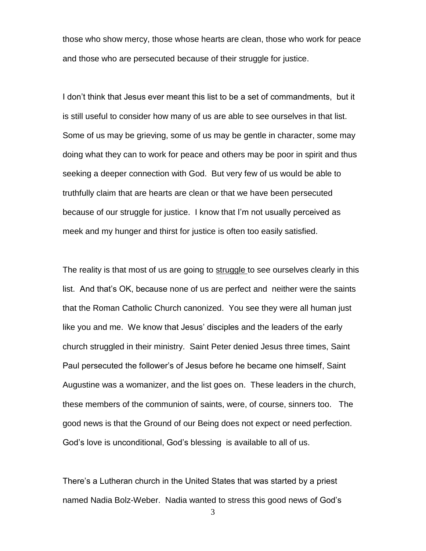those who show mercy, those whose hearts are clean, those who work for peace and those who are persecuted because of their struggle for justice.

I don't think that Jesus ever meant this list to be a set of commandments, but it is still useful to consider how many of us are able to see ourselves in that list. Some of us may be grieving, some of us may be gentle in character, some may doing what they can to work for peace and others may be poor in spirit and thus seeking a deeper connection with God. But very few of us would be able to truthfully claim that are hearts are clean or that we have been persecuted because of our struggle for justice. I know that I'm not usually perceived as meek and my hunger and thirst for justice is often too easily satisfied.

The reality is that most of us are going to struggle to see ourselves clearly in this list. And that's OK, because none of us are perfect and neither were the saints that the Roman Catholic Church canonized. You see they were all human just like you and me. We know that Jesus' disciples and the leaders of the early church struggled in their ministry. Saint Peter denied Jesus three times, Saint Paul persecuted the follower's of Jesus before he became one himself, Saint Augustine was a womanizer, and the list goes on. These leaders in the church, these members of the communion of saints, were, of course, sinners too. The good news is that the Ground of our Being does not expect or need perfection. God's love is unconditional, God's blessing is available to all of us.

There's a Lutheran church in the United States that was started by a priest named Nadia Bolz-Weber. Nadia wanted to stress this good news of God's

3